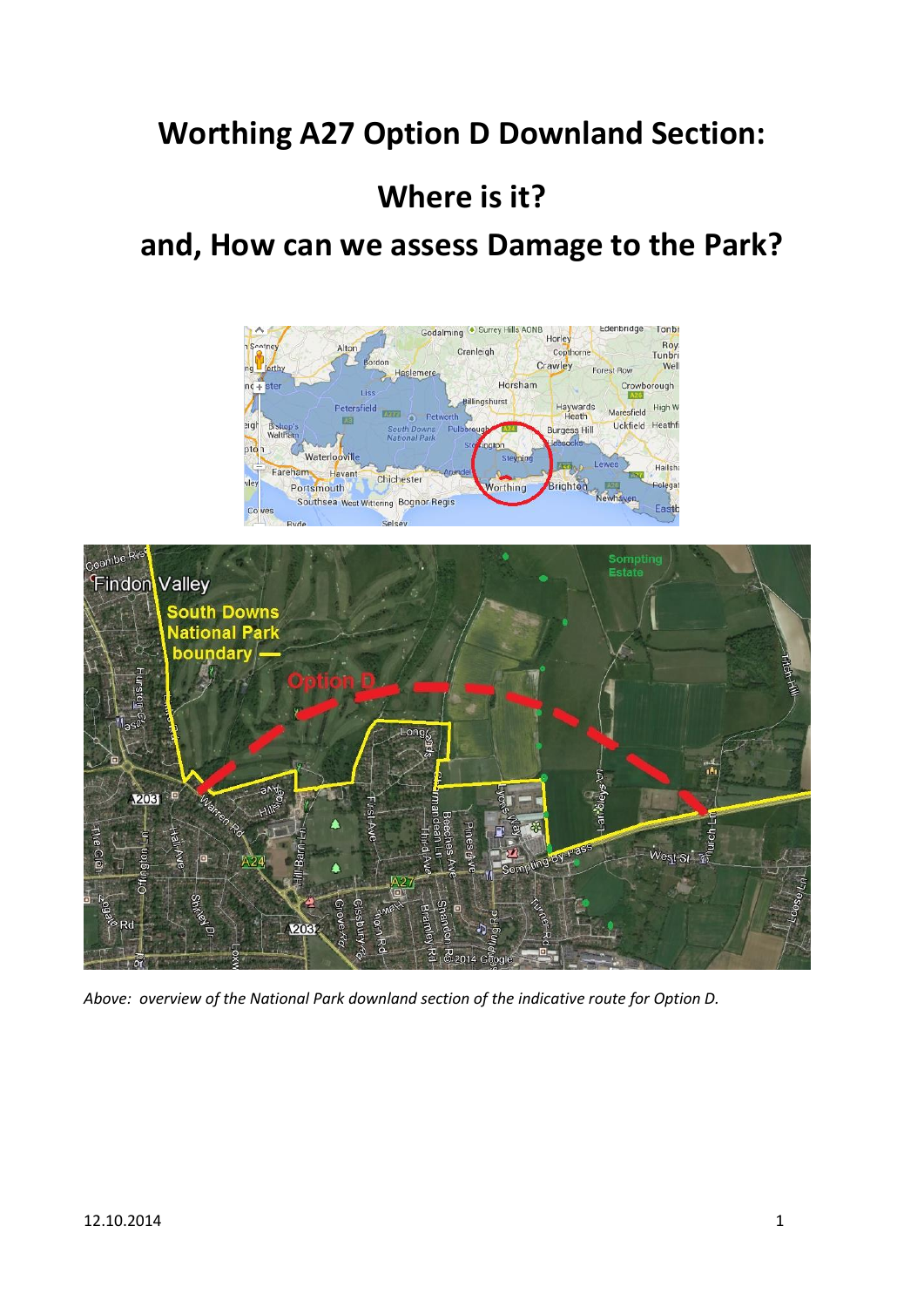# **Worthing A27 Option D Downland Section:**

# **Where is it?**

## **and, How can we assess Damage to the Park?**





*Above: overview of the National Park downland section of the indicative route for Option D.*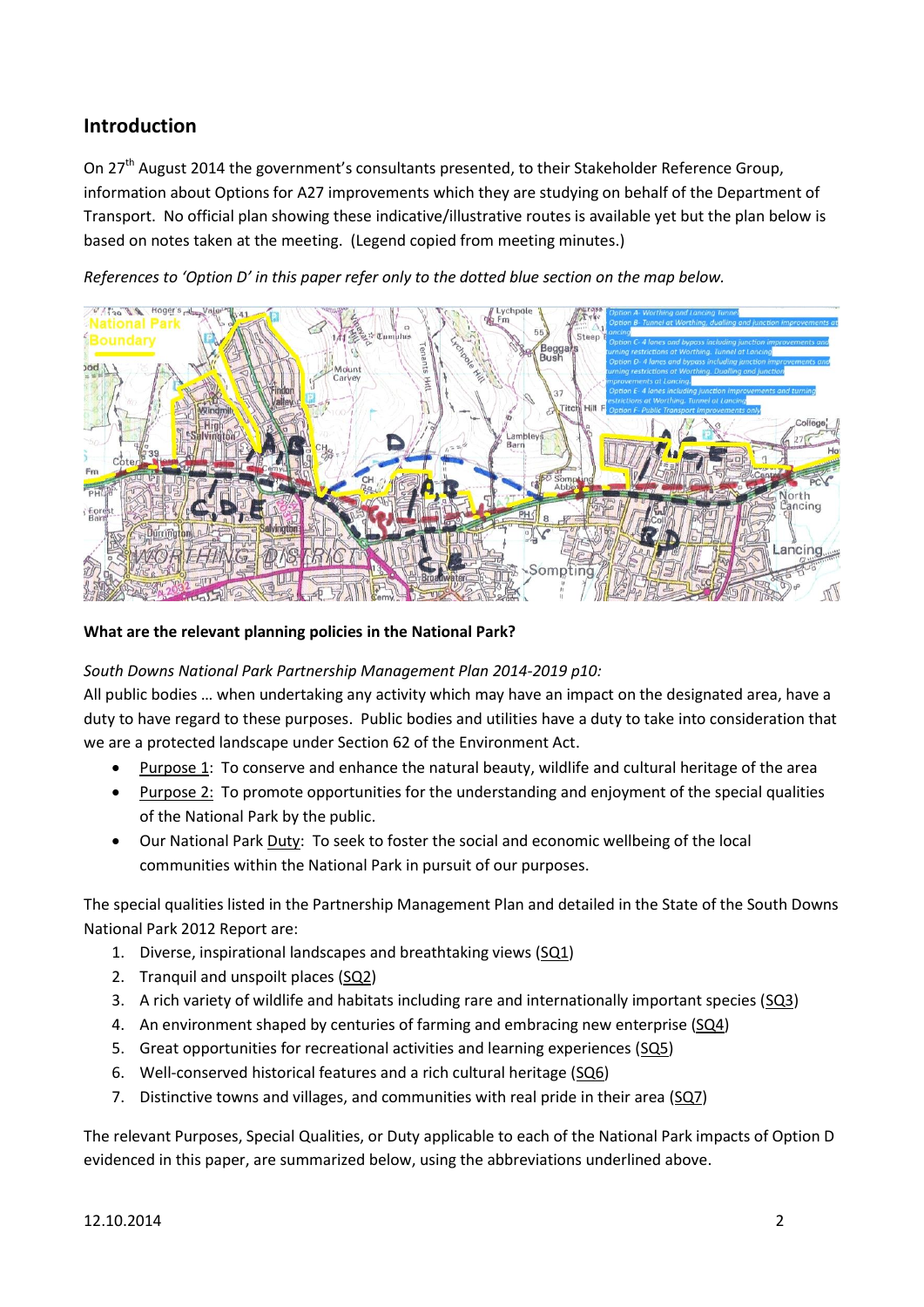### **Introduction**

On 27<sup>th</sup> August 2014 the government's consultants presented, to their Stakeholder Reference Group, information about Options for A27 improvements which they are studying on behalf of the Department of Transport. No official plan showing these indicative/illustrative routes is available yet but the plan below is based on notes taken at the meeting. (Legend copied from meeting minutes.)

*References to 'Option D' in this paper refer only to the dotted blue section on the map below.*



**What are the relevant planning policies in the National Park?**

#### *South Downs National Park Partnership Management Plan 2014-2019 p10:*

All public bodies … when undertaking any activity which may have an impact on the designated area, have a duty to have regard to these purposes. Public bodies and utilities have a duty to take into consideration that we are a protected landscape under Section 62 of the Environment Act.

- Purpose 1: To conserve and enhance the natural beauty, wildlife and cultural heritage of the area
- Purpose 2: To promote opportunities for the understanding and enjoyment of the special qualities of the National Park by the public.
- Our National Park Duty: To seek to foster the social and economic wellbeing of the local communities within the National Park in pursuit of our purposes.

The special qualities listed in the Partnership Management Plan and detailed in the State of the South Downs National Park 2012 Report are:

- 1. Diverse, inspirational landscapes and breathtaking views (SQ1)
- 2. Tranquil and unspoilt places (SQ2)
- 3. A rich variety of wildlife and habitats including rare and internationally important species (SQ3)
- 4. An environment shaped by centuries of farming and embracing new enterprise (SQ4)
- 5. Great opportunities for recreational activities and learning experiences (SQ5)
- 6. Well-conserved historical features and a rich cultural heritage (SQ6)
- 7. Distinctive towns and villages, and communities with real pride in their area (SQ7)

The relevant Purposes, Special Qualities, or Duty applicable to each of the National Park impacts of Option D evidenced in this paper, are summarized below, using the abbreviations underlined above.